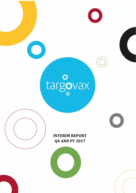

Targovax – Fourth Quarter and Full Year 2017 Report and Full Year 2017 Report and Full Year 2017 Report and Full Year 2017 Report and Full Year 2017 Report and Full Year 2017 Report and Full Year 2017 Report and Full Year



 $\bigcirc$ 

# **INTERIM REPORT Q4 AND FY 2017**

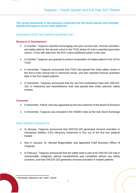**The strong momentum in the business continued into the fourth quarter and included significant progress across both platforms** 

## HIGHLIGHTS FOR THE FOURTH QUARTER 2017

## **Research & Development**

- In October, Targovax reported encouraging one-year survival rate, immune activation, and safety data for the second cohort in the TG01 phase I/II trial in resected pancreatic cancer, in line with data from the first<sup>1</sup> cohort published earlier in the year
- In October, Targovax was granted a product composition-of-matter patent in the US for TG02
- In December, Targovax announced that TG02 had passed the initial safety review in the first-in-man clinical trial in colorectal cancer, and also reported immune activation data in the first treated patients
- In December, Targovax announced that the two first combination trials with ONCOS-102, in melanoma and mesothelioma, both had passed their initial, planned, safety reviews

## **Corporate**

 $\overline{a}$ 

- In November, Patrick Vink was appointed as the new chairman of the Board of Directors
- In December, Targovax was included in the OSEBX index at the Oslo Stock Exchange

## POST-PERIOD HIGHLIGHTS

- In January, Targovax announced that ONCOS-102 generated immune activation in checkpoint inhibitor (CPI) refractory melanoma in four out of the first four patients treated
- Also in January, Dr. Michael Bogenstätter was appointed Chief Business Officer of **Targovax**
- In February, Targovax announced that the safety lead-in part of its ONCOS-102 trial in unresectable, malignant, pleural mesothelioma was completed without any safety concerns, and that ONCOS-102 generates immune activation in treated patients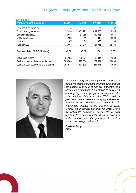| Key figures:                              |          |          |                |                |
|-------------------------------------------|----------|----------|----------------|----------------|
| <b>Amounts in NOK thousands</b>           | 4Q 2017  | 4Q 2016  | <b>FY 2017</b> | <b>FY 2016</b> |
| Total operating revenues                  | 5        | 4        | 37             | 37             |
| Total operating expenses                  | $-32450$ | $-31291$ | $-119963$      | $-119548$      |
| Operating profit/loss                     | $-32445$ | $-31288$ | $-119926$      | $-119511$      |
| Net financial items                       | $-103$   | $-711$   | $-2347$        | $-3203$        |
| Income tax                                | 87       | 84       | 328            | 260            |
| Net profit/loss                           | $-32461$ | $-31914$ | $-121945$      | $-122454$      |
| Basic and diluted EPS (NOK/share)         | $-0.62$  | $-0.76$  | $-2.58$        | $-3.55$        |
| Net change in cash                        | $-24195$ | $-20874$ | 89 944         | $-2268$        |
| Cash and cash equivalents start of period | 285 768  | 192 504  | 171 629        | 173 898        |
| Cash and cash equivalents end of period   | 261 573  | 171 629  | 261 573        | 171 629        |

# Targovax – Fourth Quarter and Full Year 2017 Report



*"*2017 was a very productive year for Targovax, in which we made significant progress with product candidates from both of our two platforms, and completed a significant fund-raising to deliver on our ongoing clinical program. In particular, the initial clinical data from the TG01 trial in pancreatic cancer were encouraging and we look forward to the complete trial results in this challenging disease in the first half of 2018. Overall, the prospects are great for 2018, where we anticipate delivery of several clinical data readouts from ongoing trials, which we expect to further demonstrate the potential of our two immuno-oncology platforms.*"*

**Øystein Soug, CEO**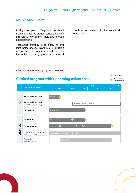## OPERATIONAL REVIEW

During the period Targovax continued development of its product candidates, both through its own clinical trials and through collaborations.

Targovax's strategy is to apply its two immunotherapeutic platforms in multiple indications. The Company intends to retain the option to bring products to market directly or to partner with pharmaceutical companies.

## **Clinical development program overview:**



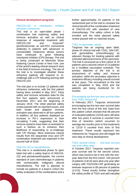## **Clinical development programs**

## ONCOS-102 in checkpoint inhibitor refractory melanoma

This trial is an open-label phase I combination trial exploring safety and immune activation as well as clinical response of sequential treatment with ONCOS-102 and Keytruda® (pembrolizumab, an anti-PD1 monoclonal antibody) in patients with advanced or unresectable melanoma whose tumors have continued to grow following checkpoint inhibitor (CPI) therapy. The trial is being conducted at Memorial Sloan Kettering Cancer Center in New York, one of the world's leading clinical research sites in the field of immuno-oncology. The aim of the trial is to investigate whether these refractory patients will respond to rechallenge with a CPI following priming with ONCOS-102.

The trial plan is to include 12 patients with refractory melanoma, with the first patient having been enrolled in May 2017. Early safety and immune activation data for the first four patients were announced in December 2017 and the beginning of January 2018. The initial planned safety review passed with no reported issues, and both innate and adaptive immune activation was observed in all four patients. In addition, all four patients displayed an increase in PD-1 expression in their circulating T-cells, suggesting that their immune systems have been re-activated in such a fashion as to enhance their likelihood of responding to re-challenge with CPI therapy. More extensive clinical results from the sequential virus and CPI combination treatment are expected in the second half of 2018.

#### ONCOS-102 in mesothelioma

This trial is a randomized phase Ib open label trial with a safety lead-in of ONCOS-102 and pemetrexed/cisplatin, the current standard of care chemotherapy in patients with unresectable, malignant, pleural mesothelioma. The trial is planned to include six patients in a lead-in cohort (for safety evaluation of the combination) and a further approximately 24 patients in the randomized part of the trial to compare the clinical benefit of the combination treatment of ONCOS-102 with standard of care chemotherapy. The safety cohort is fully enrolled and the initial planned safety review passed with no reported issues.

#### TG01 in pancreatic cancer

Targovax has an ongoing open label, phase I/II clinical trial with TG01, GM-CSF, and gemcitabine (chemotherapy) as adjuvant therapy for treating patients with resected adenocarcinoma of the pancreas. The trial is structured as a first cohort of 19 patients and a second cohort of 13 patients on a modified vaccination schedule. The primary objective of the trial is an assessment of safety and immune activation, while the secondary objective is treatment efficacy including overall survival at two years. The recruitment to this trial was completed in May 2016 and the patients are being monitored for 24 months.

## Encouraging top line two-year survival data from TG01 clinical trial

In February 2017, Targovax announced encouraging top line two-year survival data from the first cohort of this trial. Data from this patient cohort showed that 68 percent of evaluated patients (13/19) were still alive after two years if survival is counted from time of resection (which occurred on average two months prior to first treatment) or 12/19 if counted from time of first treatment. These results represent key milestones for Targovax and will trigger the next step of clinical development.

## TG01 second cohort – one-year survival rate and safety data

In October 2017, Targovax reported oneyear survival rate for the second cohort, which was found to be in line with the oneyear data from the first cohort. 100 percent of patients (13/13) were alive one year after surgery with TG01/GM-CSF generating an immune response in 85 percent of patients (11/13). These results further strengthen the safety profile of TG01 and add valuable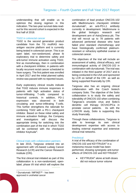understanding that will enable us to optimize the dosing regimen in this indication. The two-year survival data readout for this second cohort is expected in the first half of 2018.

## TG02 in colorectal cancer

TG02 is the second generation product candidate from the TG mutRAS neoantigen vaccine platform and is currently being tested in colorectal cancer. This is an open label, non-randomized, phase Ib exploratory trial to determine safety and anti-tumor immune activation using TG02, first as monotherapy, then in combination with a checkpoint inhibitor, in patients with locally recurrent rectal cancer scheduled to have surgery. The first patient was enrolled in April 2017 and the initial planned safety review was passed with no reported issues.

Early exploratory clinical results indicate that TG02 induces immune responses in patients with high activation status of tumor-infiltrating T-cells compared to historical controls. In addition, PD-1 expression was observed in both circulating and tumor-infiltrating T-cells. This further strengthens the rationale for combining TG02 with a PD-1 checkpoint inhibitor. Based on these initial safety and immune activation findings, the Company and investigators will discuss the appropriate timing for switching into the combination part of the trial in which TG02 will be combined with the checkpoint inhibitor Keytruda® .

## Clinical trials with collaboration partners

In late 2015, Targovax entered into an agreement with US-based Ludwig Cancer Research (LCR) and the Cancer Research Institute (CRI).

The first clinical trial initiated as part of this collaboration is a non-randomized, openlabel, phase I/II trial which will explore the combination of lead product ONCOS-102 with MedImmune's checkpoint inhibitor durvalumab<sup>2</sup>, an anti-PD-L1 antibody currently in development. MedImmune is the global biologics research and development arm of AstraZeneca plc. The trial will recruit up to 78 patients with advanced peritoneal disease who have failed prior standard chemotherapy and have histologically confirmed platinumresistant or refractory epithelial ovarian or colorectal cancer.

The objectives of the trial will include an assessment of safety, clinical efficacy, and immunological activity of ONCOS-102 in combination with durvalumab. The trial was initiated in the third quarter of 2017 and is being conducted in the USA and sponsored by LCR on behalf of the CRI as well as being supported financially by CRI.

Targovax also has an ongoing clinical collaboration with the Czech biotech company Sotio. The objective of the Sotio collaboration is to study the safety and tolerability of ONCOS-102 when combining Targovax's oncolytic virus and Sotio's dendritic cell therapy DCVAC/PCa in prostate cancer patients. As with the LCR/CRI study, Sotio is supporting this study financially.

Through these collaborations, Targovax is able to leverage its own clinical development expertise with access to leading external expertise and extensive clinical trial networks.

## **Preclinical**

A trial of the efficacy of the combination of ONCOS-102 and KEYTRUDA® in a melanoma mouse model has been performed, showing synergistic anti-tumor effects of ONCOS-102 and KEYTRUDA® :

• KEYTRUDA<sup>®</sup> alone at both doses did not reduce tumor volume

<sup>2</sup> Durvalumab / IMFINZI™ - has been approved in urothelial cancer

-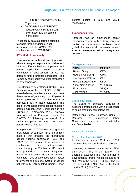- ONCOS-102 reduced volume by 51 percent
- $ONCOS-102 + KEYTRUDA<sup>®</sup>$ reduced volume by 61 percent (lower dose) and 69 percent (higher dose)

These study data support the scientific rationale for the ongoing clinical melanoma trial of ONCOS-102 in combination with KEYTRUDA® .

## **IPR / Market exclusivity**

Targovax owns a broad patent portfolio, which is designed to protect its pipeline and includes different families of patents and patent applications covering product candidates in development, as well as potential future product candidates. The Company continuously works to strengthen its patent portfolio.

The Company has attained Orphan Drug Designation for the use of ONCOS-102 in mesothelioma, ovarian cancer, and soft tissue sarcoma<sup>3</sup>, ensuring up to 10 years of market protection from the date of market approval in any of these indications. The use of TG01 in pancreatic cancer has been granted Orphan Drug Designation in the EU and US. In November 2016, Targovax was granted a European patent for ONCOS-102, following the award of a similar US patent in June 2016. These patents expire in 2029.

In September 2017, Targovax was granted a US patent for its mutant-RAS neo-antigen platform that protects the therapeutic cancer vaccine candidates TG01 and TG02 for the treatment of cancer in combination with anti-metabolite chemotherapy. In October, a US patent was granted that protects Targovax's mutant-RAS specific neo-antigen vaccine candidate TG02 as a composition of matter to stimulate the immune system of cancer patients with RAS-mutated tumors. These

patents expire in 2035 and 2034, respectively.

## **Experienced team**

Targovax has an experienced senior management team with a strong range of backgrounds from successful biotech and global pharmaceutical companies, as well as extensive experience from management consulting.

## Management team:

| <b>Name</b>                       | <b>Position</b>    |
|-----------------------------------|--------------------|
| Øystein Soug                      | CEO                |
| Magnus Jäderberg                  | <b>CMO</b>         |
| Erik Digman Wiklund               | <b>CFO</b>         |
| Michael Bogenstätter <sup>4</sup> | CBO                |
| Anne-Kirsti Aksnes                | <b>VP Clinical</b> |
| Tina Madsen                       | VP QA              |
| <b>Berit Iversen</b>              | <b>VP CMC</b>      |

#### Board of Directors

The Board of Directors consists of seasoned professionals with a broad range of complementary competencies:

Patrick Vink, Jónas Einarsson, Bente-Lill Romøren, Per Samuelsson, Johan Christenson, Robert Burns, Eva-Lotta Allan and Diane Mellett.

## FINANCIAL REVIEW

#### Results fourth quarter 2017

In the fourth quarter 2017 and 2016, Targovax had no core business revenue.

Operating expenses amounted to NOK 32m (NOK 31m) in the quarter. The operating expenses are reported net of governmental grants, which amounted to NOK 2m in the period (NOK 1m). The net loss amounted to NOK 32m in the fourth quarter 2017 (NOK 32m).

-

<sup>3</sup> Targovax has no ongoing trials in soft tissue sarcoma

<sup>4</sup> Michael Bogenstätter joined in January 2018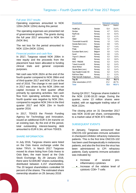## Full year 2017 results

Operating expenses amounted to NOK 120m (NOK 120m) during this period.

The operating expenses are presented net of governmental grants. The grants during the full year 2017 amounted to NOK 6m (NOK 8m).

The net loss for the period amounted to NOK 122m (NOK 122m).

## Financial position and cash flow

In 2017, Targovax raised NOK 206m in new equity and the proceeds from the placement have been allocated to funding clinical trials and general corporate purposes.

Net cash was NOK 262m at the end of the fourth quarter compared to NOK 286m end of third quarter 2017 and NOK 172m at the end of 2016. The change in net cash level in 2017 was driven by the NOK 194m net capital increase in third quarter offset primarily by operating activities. Net cash flow from operating activities during the fourth quarter was negative by NOK 26m, compared to negative NOK 24m in the third quarter 2017 and NOK 23m in fourth quarter 2016.

In 2017, TEKES the Finnish Funding Agency for Technology and Innovation, issued an additional EUR 0.3m tranche on an existing loan. By the end of the period, total outstanding interest-bearing debt amounted to EUR 6.3m, all from TEKES.

## SHARE INFORMATION

In July 2016, Targovax shares were listed on the Oslo Axess exchange under the ticker TRVX. In March 2017 Targovax moved its share listing from Oslo Axess to Oslo Børs, the main board at the Oslo Stock Exchange. By 29 January 2018, there were 52,609,867 shares outstanding, distributed between 4,157 shareholders. The 20 largest shareholders controlled 59 percent of the shares. The estimated share ownership situation on 29 January 2018:

| <b>Shareholder</b>        |         | <b>Estimated ownership</b> |          |
|---------------------------|---------|----------------------------|----------|
|                           |         | Shares m                   | Relative |
| HealthCap                 | Sweden  | 12,4                       | 23.6 %   |
| Nordea                    | Norway  | 4,7                        | 8.9%     |
| RadForsk                  | Norway  | 4,4                        | 8.4%     |
| <b>KLP</b>                | Norway  | 2,3                        | 4.3%     |
| Statoil                   | Norway  | 1,2                        | 2,3%     |
| Thorendahl Invest AS      | Norway  | 1,0                        | 1.9%     |
| Danske Bank (nom.)        | Norway  | 0,8                        | 1.6%     |
| Timmuno                   | Belgium | 0,7                        | 1.4%     |
| Prieta                    | Norway  | 0,7                        | 1.4%     |
| Euroclear Bank (nom.)     | Belgium | 0,5                        | 1.0%     |
| Sundt                     | Norway  | 0,5                        | 1.0%     |
| Yngve S. Lillesund        | Norway  | 0,3                        | 0.6%     |
| <b>DNB</b>                | Norway  | 0,3                        | 0,6%     |
| <b>NHO - P665AK</b>       | Norway  | 0,3                        | 0,5%     |
| Tobech Invest AS          | Norway  | 0,2                        | 0,4 %    |
| Istvan Molnar             | Norway  | 0,2                        | 0.4%     |
| Danske Bank (nom.)        | Norway  | 0,2                        | 0.4%     |
| Spar Kapital Investor AS  | Norway  | 0,2                        | 0.3%     |
| Rolf Arne Olsen           | Norway  | 0,1                        | 0,3%     |
| Peter Kenneth Zwilgmeyer  | Norway  | 0,1                        | 0,3%     |
| Top 20                    |         | 31.2                       | 59,3%    |
| Other shareholders (4137) |         | 21,4                       | 40.7%    |
| <b>Total</b>              |         | 52,6                       | 100,0%   |

During Q4 2017, Targovax shares traded in the NOK 13.90-18.20 range. During the quarter, some 13 million shares were traded, with an aggregate trading value of NOK 222m.

The closing price on 31 December 2017 was NOK 16.60 per share, corresponding to a market value of NOK 873 million.

## SUBSEQUENT EVENTS

In January, Targovax announced that ONCOS-102 generates immune activation in checkpoint inhibitor refractory melanoma patients. This is the first time ONCOS-102 has been used therapeutically in melanoma patients, and also the first time the virus has been administered to CPI refractory patients. Early systemic immune activation was indicated by:

- Increase of several proinflammatory cytokines
- **•** Increase of the relative level of cytotoxic CD8+ T-cells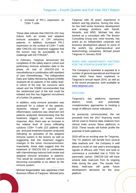• Increase of PD-1 expression on CD8+ T-cells

These data indicate that ONCOS-102 may induce both an innate and adaptive immune activation in CPI refractory patients. In addition, increased PD-1 expression on the surface of CD8+ T-cells after ONCOS-102 treatment suggests that the tumors may be susceptible to rechallenge with KEYTRUDA<sup>®</sup>.

In February, Targovax announced the completion of the safety lead-in cohort and preliminary immune activation data in the phase I/II trial of ONCOS-102 in mesothelioma in combination with standard of care chemotherapy. The independent Data and Safety Monitoring Board (DSMB) reviewed all six patients in the safety leadin cohort of the trial. No concerns were raised and the DSMB recommended that the randomized part of the trial could be initiated and this has triggered recruitment of a further 24 patients.

In addition, early immune activation was assessed for a subset of the patients. Systemic release of several proinflammatory cytokines was observed (3/3 patients analyzed) demonstrating that the treatment triggers an innate immune response. Also, there was an increase in the relative level of tumor infiltrating cytotoxic CD8+ T-cells (2/2 patients with pre- and post-treatment biopsies analyzed) indicating an activation of the adaptive immune system in the lesions as well as suggesting that the treatment triggers changes in the tumor microenvironment. Importantly, these data suggest that the treatment of ONCOS-102 in combination with chemotherapy induces both innate and adaptive immune activation in patients. This would be consistent with the tumors becoming susceptible to an attack by the immune system.

Michael Bogenstätter was appointed Chief Business Officer of Targovax. Michael joins

Targovax with 25 years' experience in biotech and big pharma. During this time, he has held senior business development and strategy positions with Sanofi, Novartis, and MSD. Michael has also worked as a consultant with The Boston Consulting Group and, most recently, has acted as an independent corporate and business development advisor to some of the world's top pharmaceutical and biotechnology companies. Michael joined Targovax in January 2018

## RISKS AND UNCERTAINTY FACTORS FOR THE FOURTH QUARTER 2017

The Company's business is exposed to a number of general operational and financial risks which have been explained in Targovax's annual report 2016, as well as in the recent prospectus, both available at [www.targovax.com.](http://www.targovax.com/)

## **OUTLOOK**

Targovax's two platforms represent distinct, novel, and potentially complementary approaches to treating a range of different cancer indications.

As previously communicated, the net proceeds from the 2017 financing round will be used to finance data readouts from clinical trials across these platforms in 2018. These results will further profile the potential of both platforms.

2018 will be an exciting year for Targovax. The TG platform will benefit from several data readouts and the Company is well placed to build on last year's encouraging signals of efficacy with TG01 and seek to commence a controlled trial in TG01 for pancreatic cancer. ONCOS-102 will have several data read-outs from its ongoing trials during the year. The results from these read-outs will guide future development decisions for the virus platform.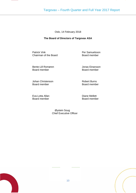# Targovax – Fourth Quarter and Full Year 2017 Report

Oslo, 14 February 2018

## **The Board of Directors of Targovax ASA**

Patrick Vink<br>
Chairman of the Board<br>
Chairman of the Board<br>
Chairman of the Board<br>
Chairman of the Board<br>
Per Samuelsson<br>
Board<br>
member Chairman of the Board

Bente-Lill Romøren and Board Jonas Einarsson<br>Board member board member Board member

Johan Christenson **Robert Burns** Board member Board member

Eva-Lotta Allan **Diane Mellett** Board member Board member

 Øystein Soug Chief Executive Officer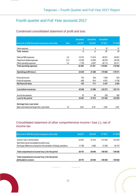# Fourth quarter and Full Year accounts 2017

# Condensed consolidated statement of profit and loss

|                                                  |             | <b>Unaudited</b> | <b>Unaudited</b> | <b>Unaudited</b> |            |
|--------------------------------------------------|-------------|------------------|------------------|------------------|------------|
| (Amounts in NOK thousands except per share data) | <b>Note</b> | 4Q 2017          | 4Q 2016          | <b>FY 2017</b>   | FY 2016    |
| Other revenues                                   |             | 5                | 4                | 37               | 37         |
| Total revenue                                    |             | 5                | 4                | 37               | 37         |
| External R&D expenses                            | 3,4         | $-12210$         | $-11814$         | $-45571$         | $-45001$   |
| Payroll and related expenses                     | 5,11        | $-13045$         | $-13380$         | $-48278$         | $-49235$   |
| Other operating expenses                         | 3,4         | $-7195$          | $-6097$          | $-26114$         | $-25311$   |
| <b>Total operating expenses</b>                  |             | $-32450$         | $-31291$         | $-119963$        | $-119548$  |
| Operating profit/loss (-)                        |             | $-32445$         | $-31288$         | $-119926$        | $-119.511$ |
| Financial income                                 |             | 753              | 204              | 1654             | 533        |
| Financial expenses                               |             | $-856$           | $-914$           | $-4001$          | $-3736$    |
| Net financial items                              |             | $-103$           | $-711$           | $-2347$          | $-3203$    |
| Loss before income tax                           |             | $-32548$         | $-31998$         | $-122273$        | $-122714$  |
| Income tax expense                               |             | 87               | 84               | 328              | 260        |
| Loss for the period                              |             | $-32461$         | $-31914$         | $-121945$        | $-122454$  |
|                                                  |             |                  |                  |                  |            |
| Earnings/loss (-) per share                      |             |                  |                  |                  |            |
| Basic and dilutive earnings/loss (-) per share   | 10          | $-0.62$          | $-0.76$          | $-2.58$          | $-3.55$    |

# Consolidated statement of other comprehensive income / loss (-), net of income tax

| (Amounts in NOK thousands except per share data)                        | 4Q 2017  | 4Q 2016   | <b>FY 2017</b> | <b>FY 2016</b> |
|-------------------------------------------------------------------------|----------|-----------|----------------|----------------|
| Income / loss (-) for the period                                        | $-32461$ | $-31.914$ | $-121.945$     | $-122454$      |
| Items that may be reclassified to profit or loss:                       |          |           |                |                |
| Exchange differences arising from the translation of foreign operations | 11760    | 2469      | 21 308         | $-16174$       |
|                                                                         |          |           |                |                |
| Total comprehensive income/loss (-) for the period                      | $-20701$ | $-29446$  | $-100638$      | $-138628$      |
| Total comprehensive income/loss (-) for the period                      |          |           |                |                |
| attributable to owners                                                  | $-20701$ | $-29446$  | $-100638$      | $-138628$      |

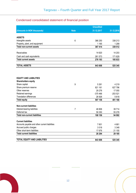# Condensed consolidated statement of financial position

|                                                |             | <b>Unaudited</b>   |            |
|------------------------------------------------|-------------|--------------------|------------|
| (Amounts in NOK thousands)                     | <b>Note</b> | 31.12.2017         | 31.12.2016 |
|                                                |             |                    |            |
| <b>ASSETS</b>                                  |             |                    |            |
| Intangible assets                              | 6           | 366 250            | 338 213    |
| Property, plant, and equipment                 |             | 1 1 6 5<br>367 414 | 1 2 9 9    |
| <b>Total non-current assets</b>                |             |                    | 339 512    |
| Receivables                                    |             | 14 6 20            | 14 203     |
| Cash and cash equivalents                      |             | 261 573            | 171 629    |
| <b>Total current assets</b>                    |             | 276 193            | 185 833    |
|                                                |             |                    |            |
| <b>TOTAL ASSETS</b>                            |             | 643 608            | 525 345    |
|                                                |             |                    |            |
|                                                |             |                    |            |
| <b>EQUITY AND LIABILITIES</b>                  |             |                    |            |
| <b>Shareholders equity</b>                     |             |                    |            |
| Share capital                                  | 9           | 5 2 6 1            | 4 2 1 9    |
| Share premium reserve                          |             | 821 161            | 627 796    |
| Other reserves                                 |             | 29 276             | 17 055     |
| Retained earnings                              |             | $-375466$          | $-253521$  |
| <b>Translation differences</b>                 |             | 26 9 26            | 5618       |
| <b>Total equity</b>                            |             | 507 158            | 401 168    |
| <b>Non-current liabilities</b>                 |             |                    |            |
| Interest-bearing liabilities                   | 7           | 48 806             | 39 714     |
| Deferred tax                                   |             | 59 350             | 55 278     |
| <b>Total non-current liabilities</b>           |             | 108 156            | 94 992     |
|                                                |             |                    |            |
| <b>Current liabilities</b>                     |             |                    |            |
| Accounts payable and other current liabilities |             | 7601               | 4681       |
| Accrued public charges                         |             | 3018               | 3 3 4 8    |
| Other short-term liabilities                   |             | 17676              | 21 155     |
| <b>Total current liabilities</b>               |             | 28 294             | 29 185     |
| <b>TOTAL EQUITY AND LIABILITIES</b>            |             | 643 608            | 525 345    |

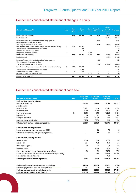# Condensed consolidated statement of changes in equity

| (Amounts in NOK thousands)                                                                                                                         | <b>Note</b> | <b>Share</b><br>capital | <b>Share</b><br>premium | Other<br>reserves | <b>Translation</b><br>differences | <b>Retained</b><br>earnings<br>(Accumulated<br>losses) | <b>Total equity</b>         |
|----------------------------------------------------------------------------------------------------------------------------------------------------|-------------|-------------------------|-------------------------|-------------------|-----------------------------------|--------------------------------------------------------|-----------------------------|
| Balance at 31 December 2015                                                                                                                        |             | 2688                    | 522 502                 | 6957              | 21 793                            | $-131067$                                              | 422873                      |
| Loss for the period                                                                                                                                |             |                         |                         |                   |                                   | $-122454$                                              | $-122454$                   |
| Exchange differences arising from the translation of foreign operations                                                                            |             |                         |                         |                   | $-16174$                          |                                                        | $-16174$                    |
| Other comprehensive income/loss, net of tax                                                                                                        |             |                         |                         |                   |                                   |                                                        | ٠                           |
| Total comprehensive income for the period                                                                                                          |             |                         |                         |                   | $-16174$                          | $-122454$                                              | $-138628$                   |
| Issue of ordinary shares - Capital increase - Private Placement and repair offering                                                                | 9           | 1529                    | 113 065                 |                   |                                   |                                                        | 114 593                     |
| Transaction costs - Private Placement and repair offering                                                                                          |             |                         | $-7753$                 |                   |                                   |                                                        | $-7753$                     |
| Share issuance, employee share options                                                                                                             |             | $\overline{2}$          | $-18$                   |                   |                                   |                                                        | $-16$                       |
| Recognition of share-based payments                                                                                                                | 11          |                         |                         | 10 098            |                                   |                                                        | 10 098                      |
| Balance at 31 December 2016                                                                                                                        |             | 4 2 1 9                 | 627 796                 | 17055             | 5618                              | $-253521$                                              | 401 168                     |
| Loss for the period                                                                                                                                |             |                         |                         |                   |                                   | $-121945$                                              | $-121945$                   |
| Exchange differences arising from the translation of foreign operations<br>Other comprehensive income/loss, net of tax                             |             |                         |                         |                   | 21 308                            |                                                        | 21 308<br>٠                 |
| Total comprehensive income for the period                                                                                                          |             |                         |                         |                   | 21 308                            | $-121945$                                              | $-100638$                   |
| Issue of ordinary shares - Capital increase - Private Placement and repair offering                                                                | 9           | 1 0 3 2                 | 205 433                 |                   |                                   |                                                        | 206 465                     |
| Transaction costs - Private Placement and repair offering<br>Share issuance, employee share options<br>Recognition of share-based payments & RSU's | 9<br>11     | 10                      | $-12256$<br>189         | 12 2 20           |                                   |                                                        | $-12256$<br>198<br>12 2 2 0 |
| Balance at 31 December 2017                                                                                                                        |             | 5 2 6 1                 | 821 161                 | 29 27 6           | 26926                             | $-375466$                                              | 507 158                     |

# Condensed consolidated statement of cash flow

|                                                                          |             | <b>Unaudited</b>         | <b>Unaudited</b> | <b>Unaudited</b> |           |
|--------------------------------------------------------------------------|-------------|--------------------------|------------------|------------------|-----------|
| (Amounts in NOK thousands)                                               | <b>Note</b> | Q4 2017                  | Q4 2016          | <b>FY 2017</b>   | FY 2016   |
| Cash flow from operating activities                                      |             |                          |                  |                  |           |
| Loss before income tax                                                   |             | $-32548$                 | $-31998$         | $-122223$        | $-122714$ |
| Adjustments for:                                                         |             |                          |                  |                  |           |
| Finance income                                                           |             | 2046                     | $-550$           | $-1654$          | $-1241$   |
| Finance expense                                                          |             | $-1942$                  | 1 2 6 0          | 4 0 0 1          | 4 4 4 4   |
| Share option expense                                                     | 11          | 3 3 4 3                  | $-743$           | 12 2 20          | 10 0 98   |
| Depreciation                                                             |             | 75                       | 71               | 296              | 284       |
| Change in receivables                                                    |             | 1 2 8 8                  | 3789             | $-417$           | $-2646$   |
| Change in other current liabilities                                      |             | 2 2 3 5                  | 5 0 8 4          | $-919$           | 2085      |
| Net cash flow from /(used in) operating activities                       |             | $-25503$                 | $-23088$         | $-108745$        | $-109690$ |
|                                                                          |             |                          |                  |                  |           |
| Cash flow from investing activities                                      |             |                          |                  |                  |           |
| Purchases of property, plant, and equipment (PPE)                        |             | $\overline{\phantom{a}}$ | $-18$            | $-56$            | -37       |
| Net cash received from/(paid in) investing activities                    |             | $\blacksquare$           | $-18$            | $-56$            | $-37$     |
|                                                                          |             |                          |                  |                  |           |
| Cash flow from financing activities                                      |             |                          |                  |                  |           |
| Interest received                                                        |             | 1 3 6 6                  | 533              | 1 3 6 6          | 533       |
| Interest paid                                                            | 7           | $-201$                   | $-152$           | $-579$           | $-548$    |
| Other finance expense                                                    |             | $-28$                    | 27               | $-93$            | $-286$    |
| Loan from TEKES                                                          | 7           |                          | 1 3 6 0          | 2992             | 1 3 6 0   |
| Share issue expense - Private Placement and repair offering              |             | $-20$                    | $-24$            | $-12256$         | $-7753$   |
| Proceeds from issuance of shares - Private Placement and repair offering |             |                          | 378              | 206 465          | 114 593   |
| Proceeds from exercise of options                                        |             |                          |                  | 198              | $-16$     |
| Net cash generated from financing activities                             |             | 1 1 1 6                  | 2 1 2 2          | 198 093          | 107883    |
|                                                                          |             |                          |                  |                  |           |
| Net increase/(decrease) in cash and cash equvivalents                    |             | $-24386$                 | $-20983$         | 89 29 2          | $-1844$   |
| Net exchange gain/loss on cash and cash equivalents                      |             | 191                      | 109              | 651              | $-424$    |
| Cash and cash equivalents at beginning of period                         |             | 285 768                  | 192 504          | 171 629          | 173 898   |
| Cash and cash equivalents at end of period                               |             | 261 573                  | 171 629          | 261 573          | 171 629   |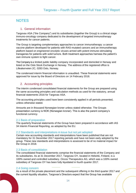# **NOTES**

# 1. General information

Targovax ASA ("the Company") and its subsidiaries (together the Group) is a clinical stage immuno-oncology company dedicated to the development of targeted immunotherapy treatments for cancer patients.

The Group is targeting complementary approaches to cancer immunotherapy: a cancer vaccine platform developed for patients with RAS-mutated cancers and an immunotherapy platform based on engineered oncolytic viruses armed with potent immune-stimulating transgenes for patients with solid tumors. Both treatment approaches harness the patient's own immune system to fight cancer.

The Company is a limited public liability company incorporated and domiciled in Norway and listed on the Oslo Stock Exchange in Norway. The address of the registered office is Lilleakerveien 2C, 0283 Oslo, Norway.

The condensed interim financial information is unaudited. These financial statements were approved for issue by the Board of Directors on 14 February 2018.

# 2. Accounting principles

The interim condensed consolidated financial statements for the Group are prepared using the same accounting principles and calculation methods as used for the statutory, annual financial statements 2016 for Targovax ASA.

The accounting principles used have been consistently applied in all periods presented, unless otherwise stated.

Amounts are in thousand Norwegian kroner unless stated otherwise. The Groups presentation currency is NOK (Norwegian kroner). This is also the parent company's functional currency.

## 2.1 Basis of preparation

The quarterly financial statements of the Group have been prepared in accordance with IAS 34 Interim Financial Reporting, as adopted by the EU.

## 2.2 Standards and interpretations in issue but not yet adopted

Certain new accounting standards and interpretations have been published that are not mandatory for 31 December 2017 reporting periods and have not been early adopted by the group. These new standards and interpretations is assessed to be of no material impact for the Group in 2018.

## 2.3 Basis of consolidation

The consolidated financial statements comprise the financial statements of the Company and its subsidiaries. As at 31 December 2017, Targovax OY, located in Helsinki, Finland, is a 100% owned and controlled subsidiary. Oncos Therapeutics AG, which was a 100% owned subsidiary of Targovax OY has been fully liquidated in fourth quarter 2017.

## 2.4 Going concern

As a result of the private placement and the subsequent offering in the third quarter 2017 and the current liquidity situation, Targovax's Directors expect that the Group has available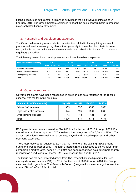financial resources sufficient for all planned activities in the next twelve months as of 14 February 2018. The Group therefore continues to adopt the going concern basis in preparing its consolidated financial statements.

## 3. Research and development expenses

The Group is developing new products. Uncertainties related to the regulatory approval process and results from ongoing clinical trials generally indicate that the criteria for asset recognition is not met until the time when marketing authorization is obtained from relevant regulatory authorities.

| (Amounts in NOK thousands)       | 4Q 2017 |                                      | 4Q 2016 |                         | <b>FY 2017</b> |                                      | <b>FY 2016</b> |                         |
|----------------------------------|---------|--------------------------------------|---------|-------------------------|----------------|--------------------------------------|----------------|-------------------------|
|                                  |         | <b>Total</b> of which <b>R&amp;D</b> | Total   | of which <b>R&amp;D</b> |                | <b>Total</b> of which <b>R&amp;D</b> | Total          | of which <b>R&amp;D</b> |
| <b>External R&amp;D expenses</b> | 12 210  | 12 210                               | 11814   | 11814                   | 45 571         | 45 571                               | 45 001         | 45 001                  |
| Payroll and related expenses     | 13045   | 10 338                               | 13 380  | 8 3 5 9                 | 48 278         | 30 045                               | 49 235         | 24 4 4 9                |
| Other operating expenses         | 7 1 9 5 | 347                                  | 6097    | 9                       | 26 114         | 1 2 1 7                              | 25 311         | 970                     |
| Total                            | 32 450  | 22 895                               | 31 291  | 20 182                  | 119 963        | 76833                                | 119 548        | 70 420                  |

The following research and development expenditures have been expensed:

# 4. Government grants

Government grants have been recognized in profit or loss as a reduction of the related expense with the following amounts:

| (Amounts in NOK thousands)       | 4Q 2017 | 4Q 2016 | <b>FY 2017</b> | <b>FY 2016</b> |
|----------------------------------|---------|---------|----------------|----------------|
| <b>External R&amp;D expenses</b> | 1 2 3 9 | 937     | 4 387          | 6068           |
| Payroll and related expenses     | 444     | 124     | 1 2 6 1        | 1 640 1        |
| Other operating expenses         | 43      | 12      | 124            | 67             |
| Total                            | 1726    | 1 0 7 3 | 5772           | 7 774 I        |

R&D projects have been approved for SkatteFUNN for the period 2011 through 2019. For the full year and fourth quarter 2017, the Group has recognized NOK 5,0m and NOK 1,7m as cost reduction in External R&D expenses, Payroll and related expenses and Other operating expenses.

The Group received an additional EUR 327 307 to one of the existing TEKES loans during the first quarter of 2017. The loan's interest rate is assessed to be 7% lower than comparable market rates, hence NOK 0.9m has been recognized as a government grant recorded as a reduction to External R&D expenses in first quarter 2017.

The Group has not been awarded grants from The Research Council (program for usermanaged innovation arena, BIA) for 2017. For the period 2013 through 2016, the Group was awarded a grant from The Research Council (program for user-managed innovation arena, BIA) of NOK 12.4m in total.

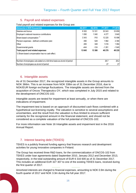# 5. Payroll and related expenses

## Total payroll and related expenses for the Group are:

| (Amounts in NOK thousands)                                              | 4Q 2017 | 4Q 2016  | <b>FY 2017</b> | <b>FY 2016</b> |
|-------------------------------------------------------------------------|---------|----------|----------------|----------------|
| Salaries and bonus                                                      | 8 3 0 0 | 12 3 31  | 30 043         | 33 659         |
| Employer's national insurance contributions                             | 1090    | 1040     | 4 2 7 7        | 3640           |
| Share-based compensation <sup>1)</sup>                                  | 3 3 4 3 | $-743$   | 12 2 2 0       | 10 0 98        |
| Pension expenses - defined contribution plan                            | 490     | 528      | 1982           | 2 3 9 4        |
| Other                                                                   | 265     | 348      | 1016           | 1084           |
| Governmental grants                                                     | -444    | $-124$   | $-1261$        | $-1640$        |
| Total payroll and related expenses                                      | 13 045  | 13 3 8 0 | 48 278         | 49 235         |
| 1) Share-based compensation has no cash effect.                         |         |          |                |                |
|                                                                         |         |          |                |                |
| Number of employees calculated on a full-time basis as at end of period |         |          | 26.7           | 26.2           |
| Number of employees as at end of period                                 |         |          | 27             | 27             |

## 6. Intangible assets

As of 31 December 2017, the recognized intangible assets in the Group amounts to NOK 366m. This is an increase from NOK 338m as of 31 December 2016, due to NOK/EUR foreign exchange fluctuations. The intangible assets are derived from the acquisition of Oncos Therapeutics OY, which was completed in July 2015 and related to the development of ONCOS-102.

Intangible assets are tested for impairment at least annually, or when there are indications of impairment.

The impairment test is based on an approach of discounted cash flows combined with a hypothetical out-licensing royalty. The valuation is sensitive to several assumptions and uncertainties, and the result from the valuation is thus limited to ensure sufficient certainty for the recognized amount in the financial statement, and should not be considered as a complete valuation of the full potential of ONCOS-102.

For more information see Note 16 Intangible assets and impairment test in the 2016 Annual Report.

# 7. Interest bearing debt (TEKES)

TEKES is a publicly financed funding agency that finances research and development activities for young innovative companies in Finland.

The Group has received three R&D loans, for the commercialization of ONCOS-102 from TEKES under loan agreements dated September 2010, January 2012 and December 2013, respectively, in the total outstanding amount of EUR 6 316 600 as of 31 December 2017. This includes an additional EUR 327 307 to one of the existing TEKES loans, received during the first quarter of 2017.

Amortized interests are charged to financial expenses, amounting to NOK 0.9m during the fourth quarter of 2017 and NOK 3.3m during the full year 2017.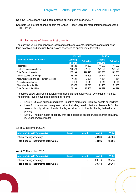No new TEKES loans have been awarded during fourth quarter 2017.

See note 22 Interest-bearing debt in the Annual Report 2016 for more information about the TEKES loans.

# 8. Fair value of financial instruments

The carrying value of receivables, cash and cash equivalents, borrowings and other shortterm payables and accrued liabilities are assessed to approximate fair value.

|                                                | <b>FY 2017</b>             |                   | <b>FY 2016</b>                    |                   |  |
|------------------------------------------------|----------------------------|-------------------|-----------------------------------|-------------------|--|
| (Amounts in NOK thousands)                     | <b>Carrying</b><br>amounts | <b>Fair value</b> | <b>Carrying</b><br><b>amounts</b> | <b>Fair value</b> |  |
| Receivables                                    | 14 6 20                    | 14 6 20           | 14 203                            | 14 203            |  |
| Cash and cash equivalents                      | 261 573                    | 261 573           | 171 629                           | 171 629           |  |
| Total financial assets                         | 276 193                    | 276 193           | 185833                            | 185 833           |  |
| Interest-bearing borrowings                    | 48 806                     | 48 806            | 39 7 14                           | 39 714            |  |
| Accounts payable and other current liabilities | 7601                       | 7601              | 4681                              | 4681              |  |
| Accrued public charges                         | 3018                       | 3018              | 3 3 4 8                           | 3348              |  |
| Other short-term liabilities                   | 17676                      | 17676             | 21 155                            | 21 155            |  |
| Total financial liabilities                    | 77 100                     | 77 100            | 68 899                            | 68 899            |  |

The tables below analyses financial instruments carried at fair value, by valuation method. The different levels have been defined as follows:

- Level 1: Quoted prices (unadjusted) in active markets for identical assets or liabilities
- Level 2: Inputs other than quoted prices including Level 1 that are observable for the asset or liability, either directly (that is, as prices) or indirectly (that is, derived from prices)
- Level 3: Inputs in asset or liability that are not based on observable market data (that is, unobservable inputs)

## As at 31 December 2017:

| (Amounts in NOK thousands)                | Level 1 | Level 2                  | Level 3 | Totall |
|-------------------------------------------|---------|--------------------------|---------|--------|
| Interest-bearing borrowings               | -       | $\overline{\phantom{0}}$ | 48.806  | 48 806 |
| Total financial instruments at fair value | ٠       |                          | 48 806  | 48 806 |

## As at 31 December 2016:

| (Amounts in NOK thousands)                | Level 1                  | Level 2                  | Level 3 | Total∥  |
|-------------------------------------------|--------------------------|--------------------------|---------|---------|
| Interest-bearing borrowings               | $\overline{\phantom{0}}$ | $\overline{\phantom{0}}$ | 39 714  | 39 7 14 |
| Total financial instruments at fair value | $\blacksquare$           |                          | 39 714  | 39 714  |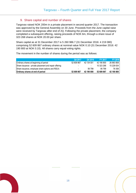# 9. Share capital and number of shares

Targovax raised NOK 200m in a private placement in second quarter 2017. The transaction was approved by the General Assembly on 30 June. Proceeds from the June capital raise were received by Targovax after end of 2Q. Following the private placement, the company completed a subsequent offering, raising proceeds of NOK 6m, through a share issue of 323 268 shares at NOK 20.00 per share.

Share capital as at 31 December 2017 is 5 260 986.7 (31 December 2016: 4 219 080) comprising 52 609 867 ordinary shares at nominal value NOK 0.10 (31 December 2016: 42 190 800 at NOK 0.10). All shares carry equal voting rights.

The movement in the number of shares during the period was as follows:

|                                                        | Q4 2017    | Q4 2016    | <b>FY 2017</b> | <b>FY 2016</b> |
|--------------------------------------------------------|------------|------------|----------------|----------------|
| Ordinary shares at beginning of period                 | 52 609 867 | 42 134 001 | 42 190 800     | 26 883 808     |
| Share issuance - private placement and repair offering | -          |            | 10 323 268     | 15 228 634     |
| Share issuance, employee share options and RSU's       |            | 56 799     | 95 799         | 78 358         |
| Ordinary shares at end of period                       | 52 609 867 | 42 190 800 | 52 609 867     | 42 190 800     |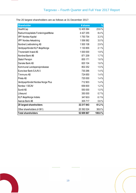The 20 largest shareholders are as follows at 31 December 2017:

| <b>Shareholder</b>                    | # shares      | $\frac{9}{6}$ |
|---------------------------------------|---------------|---------------|
| HealthCap                             | 12 405 584    | 23.6%         |
| Radiumhospitalets Forskningsstiftelse | 4 4 2 7 2 5 5 | 8.4 %         |
| <b>VPF Nordea Kapital</b>             | 1750754       | 3.3%          |
| VPF Nordea Avkastning                 | 1556582       | 3.0%          |
| Nordnet Livsforsikring AS             | 1500108       | 2.9%          |
| Verdipapirfondet KLP AksjeNorge       | 1 130 855     | 2.1%          |
| <b>Thorendahl Invest AS</b>           | 1 000 000     | 1.9%          |
| Nordnet Bank AB                       | 871 209       | 1.7%          |
| Statoil Pensjon                       | 855 171       | 1.6 %         |
| Danske Bank AS                        | 820 104       | 1.6 %         |
| Kommunal Landspensjonskasse           | 802 252       | 1.5%          |
| Euroclear Bank S.A./N.V.              | 730 266       | 1.4%          |
| Timmuno AS                            | 724 650       | 1.4%          |
| Prieta AS                             | 720 000       | 1.4%          |
| Verdipapirfondet Nordea Norge Plus    | 712903        | 1.4%          |
| Nordea 1 SICAV                        | 656 600       | 1.2%          |
| Sundt AS                              | 550 000       | 1.0%          |
| Lillesund                             | 350 000       | 0.7%          |
| <b>KLP AksjeNorge Indeks</b>          | 347833        | 0.7%          |
| Avanza Bank AB                        | 305717        | 0.6%          |
| 20 largest shareholders               | 32 217 843    | 61.2%         |
| Other shareholders (4 061)            | 20 392 024    | 38.8%         |
| <b>Total shareholders</b>             | 52 609 867    | 100.0%        |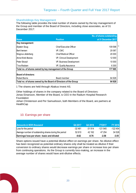## Shareholdings Key Management

The following table provides the total number of shares owned by the key management of the Group and member of the Board of Directors, including close associates, as of 31 December 2017:

|                                                          |                                                                  | No. of shares outstanding |
|----------------------------------------------------------|------------------------------------------------------------------|---------------------------|
| <b>Name</b>                                              | <b>Position</b>                                                  | at 31 December 2017       |
| Key management:                                          |                                                                  |                           |
| Øystein Soug                                             | Chief Executive Officer                                          | 1)<br>109 598             |
| <b>Berit Iversen</b>                                     | VP, CMC                                                          | 20 087                    |
| Magnus Jäderberg                                         | <b>Chief Medical Officer</b>                                     | 20 000                    |
| l Anne-Kirsti Aksnes                                     | VP, Clinical Development                                         | 12 000                    |
| Peter Skorpil                                            | VP, Business Development                                         | 10 000                    |
| Tina Madsen                                              | VP, Quality Assurance                                            | 6 3 0 0                   |
| Total no. of shares owned by key management of the Group |                                                                  | 177985                    |
| <b>Board of directors:</b>                               |                                                                  |                           |
| <b>Robert Burns</b>                                      | Board member                                                     | 64 928                    |
|                                                          | Total no. of shares owned by the Board of Directors of the Group | 64 928                    |

1 The shares are held through Abakus Invest AS.

Other holdings of shares in the company related to the Board of Directors: Jonas Einarsson, Member of the Board, is CEO in the Radium Hospital Research **Foundation** 

Johan Christenson and Per Samuelsson, both Members of the Board, are partners at **HealthCap** 

# 10. Earnings per share

| <b>Amounts in NOK thousand</b>                         | Q4 2017 | Q4 2016 | <b>FY2017</b> | <b>FY 2016</b> |
|--------------------------------------------------------|---------|---------|---------------|----------------|
| Loss for the period                                    | -32461  | -31 914 | $-121.945$    | $-122454$      |
| Average number of outstanding shares during the period | 52 610  | 42 162  | 47 254        | 34 5 28        |
| Earnings/loss per share - basic and diluted            | $-0.62$ | $-0.76$ | $-2.58$       | $-3.55$        |

Share options issued have a potential dilutive effect on earnings per share. No dilutive effect has been recognized as potential ordinary shares only shall be treated as dilutive if their conversion to ordinary shares would decrease earnings per share or increase loss per share from continuing operations. As the Group is currently loss-making, an increase in the average number of shares would have anti-dilutive effects.

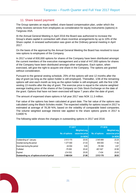# 11. Share based payment

The Group operates an equity-settled, share-based compensation plan, under which the entity receives services from employees as consideration for equity instruments (options) in Targovax ASA.

At the Annual General Meeting in April 2016 the Board was authorized to increase the Group's share capital in connection with share incentive arrangements by up to 10% of the Share capital. A renewed authorization was given at the Ordinary general meeting in April 2017.

On the basis of the approval by the Annual General Meeting the Board has resolved to issue new options to employees of the Company.

In 2017 a total of 830,000 options for shares of the Company have been distributed amongst the current members of the executive management and a total of 447,000 options for shares of the Company have been distributed amongst other employees. Each option, when exercised, will give the right to acquire one share in the Company. The options are granted without consideration.

Pursuant to the general vesting schedule, 25% of the options will vest 12 months after the day of grant (as long as the option holder is still employed). Thereafter, 1/36 of the remaining options will vest each month as long as the option holder is still employed, with the first 1/36 vesting 13 months after the day of grant. The exercise price is equal to the volume weighted average trading price of the shares of the Company on Oslo Stock Exchange on the date of the grant. Options that have not been exercised will lapse 7 years after the date of grant.

The amount of expensed share options in full year 2017 was NOK 11.3 million.

Fair value of the options has been calculated at grant date. The fair value of the options was calculated using the Black-Scholes model. The expected volatility for options issued in 2017 is estimated at average of 78,39 %%, based on the volatility of comparable listed companies. The volume weighted average interest rate applied to the share options grants in 2017 is 0,8400 %

The following table shows the changes in outstanding options in 2017 and 2016:

|                                             | <b>FY 2017</b> |                 | <b>FY 2016</b> |                 |
|---------------------------------------------|----------------|-----------------|----------------|-----------------|
|                                             |                | Weighted avg.   |                | Weighted avg.   |
|                                             | No. of options | excercise price | No. of options | excercise price |
|                                             |                | (in NOK)        |                | (in NOK)        |
| Outstanding at 1 January                    | 2513170        | 20.93           | 2545889        | 23.25           |
| Granted during the period                   | 1 277 000      | 21.53           | 655 000        | 11.82           |
| Exercised during the period                 | $-34004$       | 5.65            | $-78358$       | 4.97            |
| Forfeited                                   | -75 000        | 20.42           | $-601927$      | 22.90           |
| Expired                                     | $-214532$      | 25.00           | $-7434$        | 25.00           |
| Outstanding no. of options at end of period | 3466634        | 21.06           | 2513170        | 20.93           |

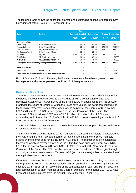The following table shows the exercised, granted and outstanding options for shares to Key Management of the Group at 31 December 2017:

|                            |                                                                |                  | <b>Options</b>  |                    |                |                            |
|----------------------------|----------------------------------------------------------------|------------------|-----------------|--------------------|----------------|----------------------------|
| <b>Name</b>                | <b>Position</b>                                                | <b>Exercised</b> | <b>Granted</b>  | <b>Outstanding</b> |                | <b>Granted Outstanding</b> |
|                            |                                                                |                  | FY 2017 FY 2017 | 31.12.2017         | <b>FY 2016</b> | 31.12.2016                 |
| Key management:            |                                                                |                  |                 |                    |                |                            |
| Øystein Soug               | <b>Chief Executive Officer</b>                                 |                  | 250 000         | 790 000            | 150 000        | 540 000                    |
| Magnus Jäderberg           | <b>Chief Medical Officer</b>                                   |                  | 150 000         | 660 000            | 120 000        | 510 000                    |
| Anne Kirsti Aksnes         | VP, Clinical Development                                       |                  | 130 000         | 283 000            | 100 000        | 153 000                    |
| Erik Digman Wiklund        | <b>Chief Financial Officer</b>                                 |                  | 150 000         | 150 000            |                |                            |
| Berit Iversen              | VP. CMC                                                        | $-25000$         | 70 000          | 135 000            | 20 000         | 90 000                     |
| Tina Madsen                | VP, Quality Assurance                                          |                  | 50 000          | 103 000            |                | 53 000                     |
| Peter Skorpil              | VP, Business Development                                       |                  | 30 000          | 75 000             |                | 45 000                     |
|                            | Total option for shares to key management of the Group         | -25 000          | 830 000         | 2 196 000          | 390 000        | 1391000                    |
| <b>Board of directors:</b> |                                                                |                  |                 |                    |                |                            |
| lRobert Burns              | Board member                                                   |                  |                 | 21 235             | -              | 21 2 35                    |
|                            | Total option for shares to the Board of Directors of the Group |                  |                 | 21 235             |                | 21 235                     |

From 1 January 2018 to 14 February 2018 new share options have been granted to Key Management and other employees, see Note 12. Subsequent events.

## Restricted Stock Units

The Annual General Meeting 5 April 2017 decided to remunerate the Board of Directors for the period between the AGM 2017 to the AGM 2018 with a combination of cash and Restricted Stock Units (RSUs), hence at the 5 April 2017, an additional 43 554 RSUs were granted to the Board of Directors. When the RSUs have vested, the participant must during the following three-year period select when to take delivery of the shares. At 30 November 2017 additional 11 131 RSUs were granted to the new Chairman of the Board. The expensed RSUs in full year 2017 was NOK 0.9 million. A total of 119 411 RSUs was outstanding at 31 December 2017, of which 112 830 RSUs were outstanding to the Board of Directors of the Group at 31 December 2017.

The Board of directors may choose to receive their remuneration, or parts thereof, in the form of restricted stock units (RSUs).

The number of RSUs to be granted to the members of the Board of Directors is calculated as the NOK amount of the RSU opted portion of total compensation to the Board member, divided by the market price for the Targovax ASA share. The market price is calculated as the volume weighted average share price the 10 trading days prior to the grant date, NOK 23.88 for the grant at 5 April 2017 and NOK 14.62 for the grant at 30 November to the new Chairman of the Board. The RSUs will be non-transferrable and each RSU will give the right and obligation to acquire shares in Targovax ASA (at nominal value) subject to satisfaction of the applicable vesting conditions.

If the Board members choose to receive the Board remuneration in RSUs they must elect to either (i) receive 100% of the compensation in RSUs, (ii) receive 1/3 of the compensation in cash and 2/3 in RSUs, or (iii) receive 2/3 of the compensation in cash and 1/3 in RSUs. The total compensation to each member of the Board of Directors for the period 2017-2018 have been set out in the minutes from the Annual General Meeting 5 April 2017.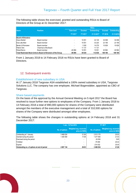The following table shows the exercised, granted and outstanding RSUs to Board of Directors of the Group at 31 December 2017:

|                            |                                                                 | <b>RSUs</b>      |                |                    |         |                    |  |
|----------------------------|-----------------------------------------------------------------|------------------|----------------|--------------------|---------|--------------------|--|
| <b>Name</b>                | <b>Position</b>                                                 | <b>Exercised</b> | Granted        | <b>Outstanding</b> | Granted | <b>Outstanding</b> |  |
|                            |                                                                 | <b>FY 2017</b>   | <b>FY 2017</b> | 31.12.2017         | FY 2016 | 31.12.2016         |  |
| <b>Board of Directors:</b> |                                                                 |                  |                |                    |         |                    |  |
| Diane Mellett              | Board member                                                    |                  | 10051          | 44 149             | 34 098  | 34 098             |  |
| Eva-Lotta Allan            | Board member                                                    |                  | 10 0 51        | 33 2 20            | 23 169  | 23 169             |  |
| Bente-Lill Romøren         | Board member                                                    |                  | 3 3 5 0        | 14 2 7 9           | 10 929  | 10929              |  |
| Patrick Vink               | Chairman of the Board                                           |                  | 11 131         | 11 131             |         |                    |  |
| <b>Robert Burns</b>        | Board member                                                    | -40 984          | 10051          | 10051              | 40 984  | 40 984             |  |
|                            | Total Restricted Stock Units to Board of Directors of the Group | -40 984          | 44 634         | 112830             | 109 180 | 109 180            |  |

From 1 January 2018 to 14 February 2018 no RSUs have been granted to Board of Directors.

## 12. Subsequent events

## Establishment of new subsidiary in USA

At 1<sup>st</sup> January 2018 Targovax ASA established a 100% owned subsidiary in USA, Targovax Solutions LLC. The company has one employee, Michael Bogenstätter, appointed as CBO of Targovax.

## Share based payments

On the basis of the approval by the Annual General Meeting on 5 April 2017 the Board has resolved to issue further new options to employees of the Company. From 1 January 2018 to 14 February 2018 a total of 890,000 options for shares of the Company were distributed amongst the members of the executive management and a total of 310,500 options for shares of the Company were distributed amongst other employees.

The following table shows the changes in outstanding options at 14 February 2018 and 31 December 2017:

|                                             |                | 1 Jan - 14 Feb 2018                       |                | <b>FY 2017</b>                            |
|---------------------------------------------|----------------|-------------------------------------------|----------------|-------------------------------------------|
|                                             | No. of options | Weighted avg. excercise<br>price (in NOK) | No. of options | Weighted avg. excercise<br>price (in NOK) |
| Outstanding at 1 January                    | 3 466 634      | 21.06                                     | 2 513 170      | 20.93                                     |
| Granted during the period                   | 1 200 500      | 17.08                                     | 1 277 000      | 21.53                                     |
| Exercised during the period                 |                |                                           | $-34004$       | 5.65                                      |
| Forfeited                                   |                |                                           | $-75000$       | 20.42                                     |
| Expired                                     |                |                                           | $-214532$      | 25.00                                     |
| Outstanding no. of options at end of period | 4 667 134      | 20.03                                     | 3 466 634      | 21.06                                     |

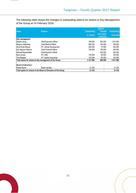The following table shows the changes in outstanding options for shares to Key Management of the Group at 14 February 2018:

|                            |                                                                | <b>Options</b>     |                           |                    |  |  |
|----------------------------|----------------------------------------------------------------|--------------------|---------------------------|--------------------|--|--|
| <b>Name</b>                | <b>Position</b>                                                | <b>Outstanding</b> | <b>Granted</b>            | <b>Outstanding</b> |  |  |
|                            |                                                                | 31.12.2017         | 01.01.2018-<br>14.02.2018 | 14.02.2018         |  |  |
| Key management:            |                                                                |                    |                           |                    |  |  |
| Øystein Soug               | <b>Chief Executive Officer</b>                                 | 790 000            | 220 000                   | 1 010 000          |  |  |
| Magnus Jäderberg           | <b>Chief Medical Officer</b>                                   | 660 000            | 100 000                   | 760 000            |  |  |
| Anne Kirsti Aksnes         | <b>VP.</b> Clinical Development                                | 283 000            | 70 000                    | 353 000            |  |  |
| Erik Digman Wiklund        | <b>Chief Financial Officer</b>                                 | 150 000            | 150 000                   | 300 000            |  |  |
| Michael Bogenstätter       | <b>Chief Business Officer</b>                                  |                    | 230 000                   | 230 000            |  |  |
| Berit Iversen              | VP, CMC                                                        | 135 000            | 60 000                    | 195 000            |  |  |
| Tina Madsen                | VP, Quality Assurance                                          | 103 000            | 60 000                    | 163 000            |  |  |
|                            | Total option for shares to key management of the Group         | 2 121 000          | 890 000                   | 3 011 000          |  |  |
| <b>Board of directors:</b> |                                                                |                    |                           |                    |  |  |
| Robert Burns               | Board member                                                   | 21 2 35            | ۰                         | 21 2 35            |  |  |
|                            | Total option for shares to the Board of Directors of the Group | 21 235             |                           | 21 235             |  |  |